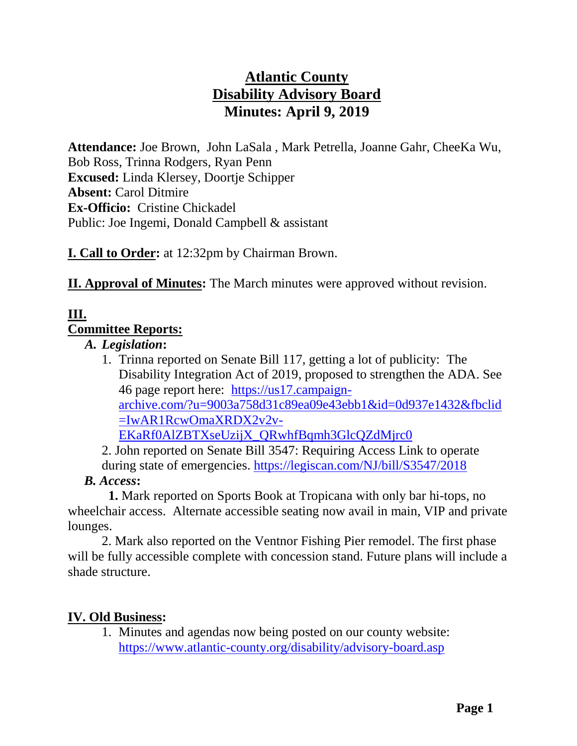# **Atlantic County Disability Advisory Board Minutes: April 9, 2019**

**Attendance:** Joe Brown, John LaSala , Mark Petrella, Joanne Gahr, CheeKa Wu, Bob Ross, Trinna Rodgers, Ryan Penn **Excused:** Linda Klersey, Doortje Schipper **Absent:** Carol Ditmire **Ex-Officio:** Cristine Chickadel Public: Joe Ingemi, Donald Campbell & assistant

**I. Call to Order:** at 12:32pm by Chairman Brown.

**II. Approval of Minutes:** The March minutes were approved without revision.

## **III. Committee Reports:**

*A. Legislation***:**

1. Trinna reported on Senate Bill 117, getting a lot of publicity: The Disability Integration Act of 2019, proposed to strengthen the ADA. See 46 page report here: [https://us17.campaign](https://us17.campaign-archive.com/?u=9003a758d31c89ea09e43ebb1&id=0d937e1432&fbclid=IwAR1RcwOmaXRDX2v2v-EKaRf0AlZBTXseUzijX_QRwhfBqmh3GlcQZdMjrc0)[archive.com/?u=9003a758d31c89ea09e43ebb1&id=0d937e1432&fbclid](https://us17.campaign-archive.com/?u=9003a758d31c89ea09e43ebb1&id=0d937e1432&fbclid=IwAR1RcwOmaXRDX2v2v-EKaRf0AlZBTXseUzijX_QRwhfBqmh3GlcQZdMjrc0) [=IwAR1RcwOmaXRDX2v2v-](https://us17.campaign-archive.com/?u=9003a758d31c89ea09e43ebb1&id=0d937e1432&fbclid=IwAR1RcwOmaXRDX2v2v-EKaRf0AlZBTXseUzijX_QRwhfBqmh3GlcQZdMjrc0)[EKaRf0AlZBTXseUzijX\\_QRwhfBqmh3GlcQZdMjrc0](https://us17.campaign-archive.com/?u=9003a758d31c89ea09e43ebb1&id=0d937e1432&fbclid=IwAR1RcwOmaXRDX2v2v-EKaRf0AlZBTXseUzijX_QRwhfBqmh3GlcQZdMjrc0)

2. John reported on Senate Bill 3547: Requiring Access Link to operate during state of emergencies.<https://legiscan.com/NJ/bill/S3547/2018>

 *B. Access***:**

**1.** Mark reported on Sports Book at Tropicana with only bar hi-tops, no wheelchair access. Alternate accessible seating now avail in main, VIP and private lounges.

2. Mark also reported on the Ventnor Fishing Pier remodel. The first phase will be fully accessible complete with concession stand. Future plans will include a shade structure.

## **IV. Old Business:**

1. Minutes and agendas now being posted on our county website: <https://www.atlantic-county.org/disability/advisory-board.asp>